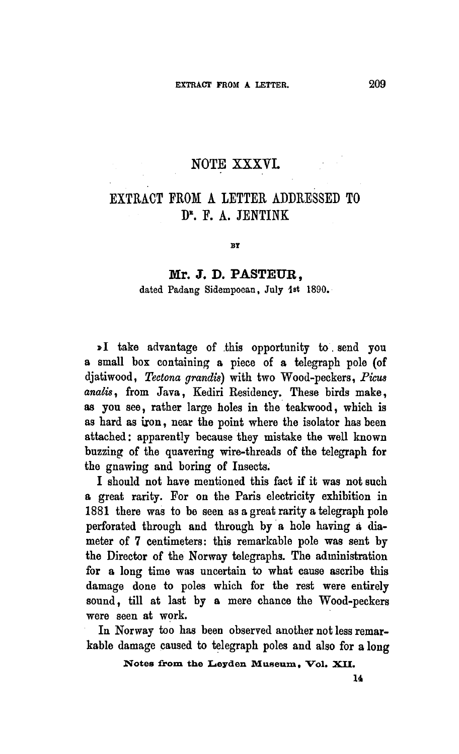## NOTE XXXVI.

## Extract from <sup>a</sup> letter addressed to D<sup>r</sup>. F. A. JENTINK

**BY** 

## Mr. J. D. PASTEUR.

dated Padang Sidempoean, July 1st 1890.

djatiwood, Tectona grandis) with two Wood-peckers, Picus analis, from Java, Kediri Residency. These birds make, as you see, rather large holes in the teakwood, which is as hard as iron, near the point where the isolator has been attached: apparently because they mistake the well known buzzing of the quavering wire-threads of the telegraph for the gnawing and boring of Insects. »I take advantage of this opportunity to send you <sup>a</sup> small box containing <sup>a</sup> piece of a telegraph pole (of

I should not have mentioned this fact if it was not such a great rarity. For on the Paris electricity exhibition in 1881 there was to be seen as a great rarity a telegraph pole perforated through and through by <sup>a</sup> hole having a diameter of <sup>7</sup> centimeters: this remarkable pole was sent by the Director of the Norway telegraphs. The administration for a long time was uncertain to what cause ascribe this damage done to poles which for the rest were entirely sound, till at last by <sup>a</sup> mere chance the Wood-peckers were seen at work.

In Norway too has been observed another not less remarkable damage caused to telegraph poles and also for <sup>a</sup> long

Notes from the Leyden Museum, Vol. XII.